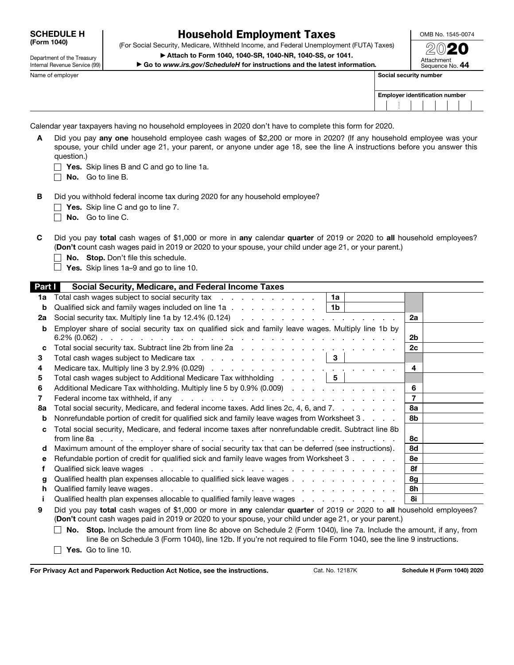SCHEDULE H (Form 1040)

## Household Employment Taxes

(For Social Security, Medicare, Withheld Income, and Federal Unemployment (FUTA) Taxes) ▶ Attach to Form 1040, 1040-SR, 1040-NR, 1040-SS, or 1041.

OMB No. 1545-0074  $\mathfrak{D} \mathbb{O}$ 20

Internal Revenue Service (99)

Department of the Treasury

▶ Go to *www.irs.gov/ScheduleH* for instructions and the latest information*.*

| .<br>Attachment<br>Sequence No. 44 |  |
|------------------------------------|--|
| security number                    |  |

| Name of employer | Social security number                |  |  |  |  |
|------------------|---------------------------------------|--|--|--|--|
|                  | <b>Employer identification number</b> |  |  |  |  |
|                  |                                       |  |  |  |  |
|                  |                                       |  |  |  |  |

Calendar year taxpayers having no household employees in 2020 don't have to complete this form for 2020.

- A Did you pay any one household employee cash wages of \$2,200 or more in 2020? (If any household employee was your spouse, your child under age 21, your parent, or anyone under age 18, see the line A instructions before you answer this question.)
	- $\Box$  Yes. Skip lines B and C and go to line 1a.
	- $\Box$  No. Go to line B.
- B Did you withhold federal income tax during 2020 for any household employee?
	- $\Box$  Yes. Skip line C and go to line 7.
	- No. Go to line C.
- C Did you pay total cash wages of \$1,000 or more in any calendar quarter of 2019 or 2020 to all household employees? (Don't count cash wages paid in 2019 or 2020 to your spouse, your child under age 21, or your parent.)
	- $\Box$  No. Stop. Don't file this schedule.
	- $\Box$  Yes. Skip lines 1a–9 and go to line 10.

| Part I | Social Security, Medicare, and Federal Income Taxes                                                                                                                                                                                         |                |
|--------|---------------------------------------------------------------------------------------------------------------------------------------------------------------------------------------------------------------------------------------------|----------------|
| 1a     | Total cash wages subject to social security tax<br>1a                                                                                                                                                                                       |                |
| b      | Qualified sick and family wages included on line 1a<br>  1b                                                                                                                                                                                 |                |
| 2a     |                                                                                                                                                                                                                                             | 2a             |
| b      | Employer share of social security tax on qualified sick and family leave wages. Multiply line 1b by                                                                                                                                         |                |
|        |                                                                                                                                                                                                                                             | 2b             |
| c      |                                                                                                                                                                                                                                             | 2c             |
| 3      | Total cash wages subject to Medicare tax $\cdots$ $\cdots$ $\cdots$ $\cdots$ $\cdots$ $\cdots$ $\vert$ 3                                                                                                                                    |                |
| 4      |                                                                                                                                                                                                                                             | 4              |
| 5      | Total cash wages subject to Additional Medicare Tax withholding $\ldots$ $\ldots$   5                                                                                                                                                       |                |
| 6      | Additional Medicare Tax withholding. Multiply line 5 by 0.9% (0.009)                                                                                                                                                                        | 6              |
| 7      | Federal income tax withheld, if any respectively and respect to the contract of the contract of the contract of the contract of the contract of the contract of the contract of the contract of the contract of the contract o              | $\overline{7}$ |
| 8а     | Total social security, Medicare, and federal income taxes. Add lines 2c, 4, 6, and 7.                                                                                                                                                       | <b>8a</b>      |
| b      | Nonrefundable portion of credit for qualified sick and family leave wages from Worksheet 3.                                                                                                                                                 | 8b             |
| C      | Total social security, Medicare, and federal income taxes after nonrefundable credit. Subtract line 8b                                                                                                                                      |                |
|        |                                                                                                                                                                                                                                             | <b>8c</b>      |
| d      | Maximum amount of the employer share of social security tax that can be deferred (see instructions).                                                                                                                                        | 8d             |
| е      | Refundable portion of credit for qualified sick and family leave wages from Worksheet 3                                                                                                                                                     | 8e             |
| f      | Qualified sick leave wages entertainment and the contract of the contract of the contract of the contract of the contract of the contract of the contract of the contract of the contract of the contract of the contract of t              | 8f             |
| g      | Qualified health plan expenses allocable to qualified sick leave wages                                                                                                                                                                      | 8g             |
| h.     |                                                                                                                                                                                                                                             | 8h             |
|        | Qualified health plan expenses allocable to qualified family leave wages                                                                                                                                                                    | 8i             |
| 9      | Did you pay total cash wages of \$1,000 or more in any calendar quarter of 2019 or 2020 to all household employees?                                                                                                                         |                |
|        | (Don't count cash wages paid in 2019 or 2020 to your spouse, your child under age 21, or your parent.)                                                                                                                                      |                |
|        | No. Stop. Include the amount from line 8c above on Schedule 2 (Form 1040), line 7a. Include the amount, if any, from<br>line 8e on Schedule 3 (Form 1040), line 12b. If you're not required to file Form 1040, see the line 9 instructions. |                |

For Privacy Act and Paperwork Reduction Act Notice, see the instructions. Cat. No. 12187K Schedule H (Form 1040) 2020

 $\Box$  Yes. Go to line 10.